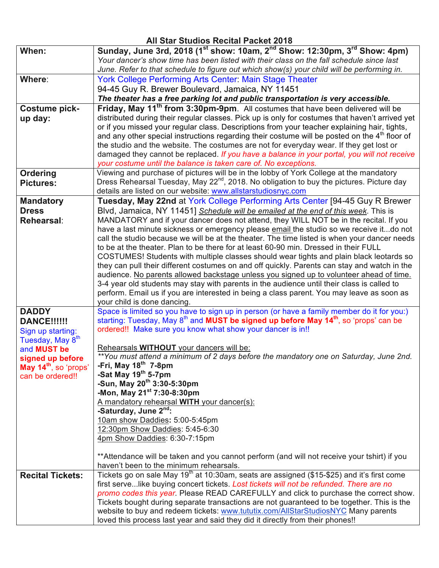## **All Star Studios Recital Packet 2018 When: Sunday, June 3rd, 2018 (1st show: 10am, 2nd Show: 12:30pm, 3rd Show: 4pm)**  *Your dancer's show time has been listed with their class on the fall schedule since last June. Refer to that schedule to figure out which show(s) your child will be performing in.* **Where**: York College Performing Arts Center: Main Stage Theater 94-45 Guy R. Brewer Boulevard, Jamaica, NY 11451 *The theater has a free parking lot and public transportation is very accessible.* **Costume pickup day: Friday, May 11th from 3:30pm-9pm**. All costumes that have been delivered will be distributed during their regular classes. Pick up is only for costumes that haven't arrived yet or if you missed your regular class. Descriptions from your teacher explaining hair, tights, and any other special instructions regarding their costume will be posted on the  $4<sup>th</sup>$  floor of the studio and the website. The costumes are not for everyday wear. If they get lost or damaged they cannot be replaced. *If you have a balance in your portal, you will not receive your costume until the balance is taken care of. No exceptions.* **Ordering Pictures:** Viewing and purchase of pictures will be in the lobby of York College at the mandatory Dress Rehearsal Tuesday, May 22<sup>nd</sup>, 2018. No obligation to buy the pictures. Picture day details are listed on our website: www.allstarstudiosnyc.com **Mandatory Dress Rehearsal**: **Tuesday, May 22nd** at York College Performing Arts Center [94-45 Guy R Brewer Blvd, Jamaica, NY 11451] *Schedule will be emailed at the end of this week*. This is MANDATORY and if your dancer does not attend, they WILL NOT be in the recital. If you have a last minute sickness or emergency please email the studio so we receive it...do not call the studio because we will be at the theater. The time listed is when your dancer needs to be at the theater. Plan to be there for at least 60-90 min. Dressed in their FULL COSTUMES! Students with multiple classes should wear tights and plain black leotards so they can pull their different costumes on and off quickly. Parents can stay and watch in the audience. No parents allowed backstage unless you signed up to volunteer ahead of time. 3-4 year old students may stay with parents in the audience until their class is called to perform. Email us if you are interested in being a class parent. You may leave as soon as your child is done dancing. **DADDY DANCE!!!!!!** Sign up starting: Tuesday, May  $8<sup>th</sup>$ and **MUST be signed up before May 14th**, so 'props' can be ordered!! Space is limited so you have to sign up in person (or have a family member do it for you:) starting: Tuesday, May 8<sup>th</sup> and **MUST be signed up before May 14<sup>th</sup>**, so 'props' can be ordered!! Make sure you know what show your dancer is in!! Rehearsals **WITHOUT** your dancers will be: *\*\*You must attend a minimum of 2 days before the mandatory one on Saturday, June 2nd.* **-Fri, May 18th 7-8pm -Sat May 19th 5-7pm -Sun, May 20th 3:30-5:30pm -Mon, May 21st 7:30-8:30pm**  A mandatory rehearsal **WITH** your dancer(s): **-Saturday, June 2nd:** 10am show Daddies**:** 5:00-5:45pm 12:30pm Show Daddies: 5:45-6:30 4pm Show Daddies: 6:30-7:15pm \*\*Attendance will be taken and you cannot perform (and will not receive your tshirt) if you haven't been to the minimum rehearsals. **Recital Tickets:** Tickets go on sale May 19<sup>th</sup> at 10:30am, seats are assigned (\$15-\$25) and it's first come first serve...like buying concert tickets. *Lost tickets will not be refunded. There are no promo codes this year.* Please READ CAREFULLY and click to purchase the correct show. Tickets bought during separate transactions are not guaranteed to be together. This is the website to buy and redeem tickets: www.tututix.com/AllStarStudiosNYC Many parents loved this process last year and said they did it directly from their phones!!